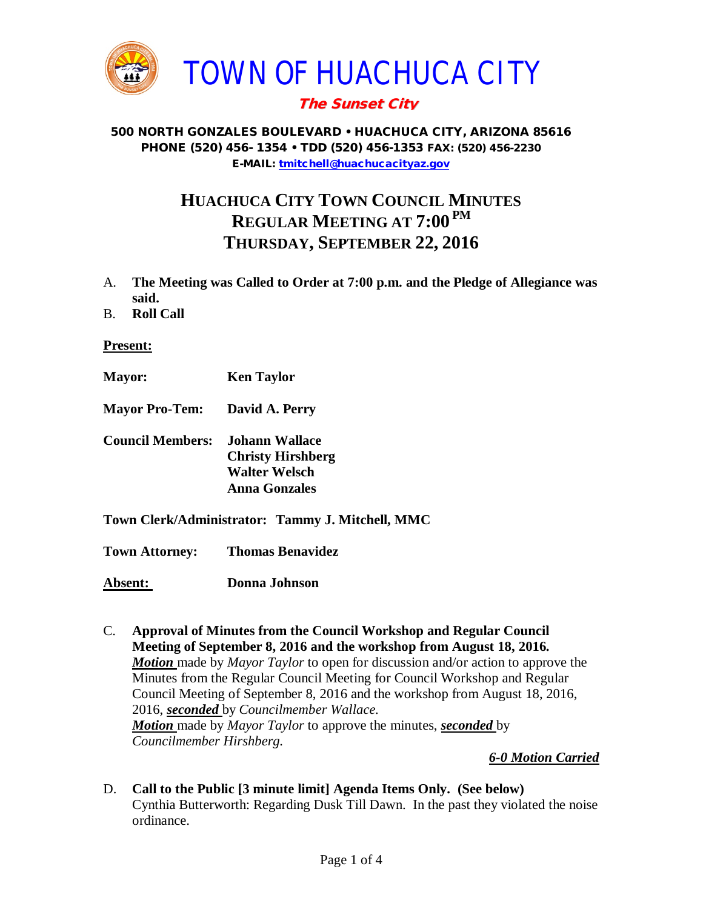

# The Sunset City

#### 500 NORTH GONZALES BOULEVARD • HUACHUCA CITY, ARIZONA 85616 PHONE (520) 456- 1354 • TDD (520) 456-1353 FAX: (520) 456-2230 E-MAIL: [tmitchell@huachucacityaz.gov](mailto:tmitchell@huachucacityaz.gov)

# **HUACHUCA CITY TOWN COUNCIL MINUTES REGULAR MEETING AT 7:00 PM THURSDAY, SEPTEMBER 22, 2016**

- A. **The Meeting was Called to Order at 7:00 p.m. and the Pledge of Allegiance was said.**
- B. **Roll Call**

**Present:**

- **Mayor: Ken Taylor**
- **Mayor Pro-Tem: David A. Perry**
- **Council Members: Johann Wallace Christy Hirshberg Walter Welsch Anna Gonzales**
- **Town Clerk/Administrator: Tammy J. Mitchell, MMC**

**Town Attorney: Thomas Benavidez**

**Absent: Donna Johnson**

C. **Approval of Minutes from the Council Workshop and Regular Council Meeting of September 8, 2016 and the workshop from August 18, 2016.** *Motion* made by *Mayor Taylor* to open for discussion and/or action to approve the Minutes from the Regular Council Meeting for Council Workshop and Regular Council Meeting of September 8, 2016 and the workshop from August 18, 2016, 2016, *seconded* by *Councilmember Wallace. Motion* made by *Mayor Taylor* to approve the minutes, *seconded* by *Councilmember Hirshberg.*

## *6-0 Motion Carried*

D. **Call to the Public [3 minute limit] Agenda Items Only. (See below)** Cynthia Butterworth: Regarding Dusk Till Dawn. In the past they violated the noise ordinance.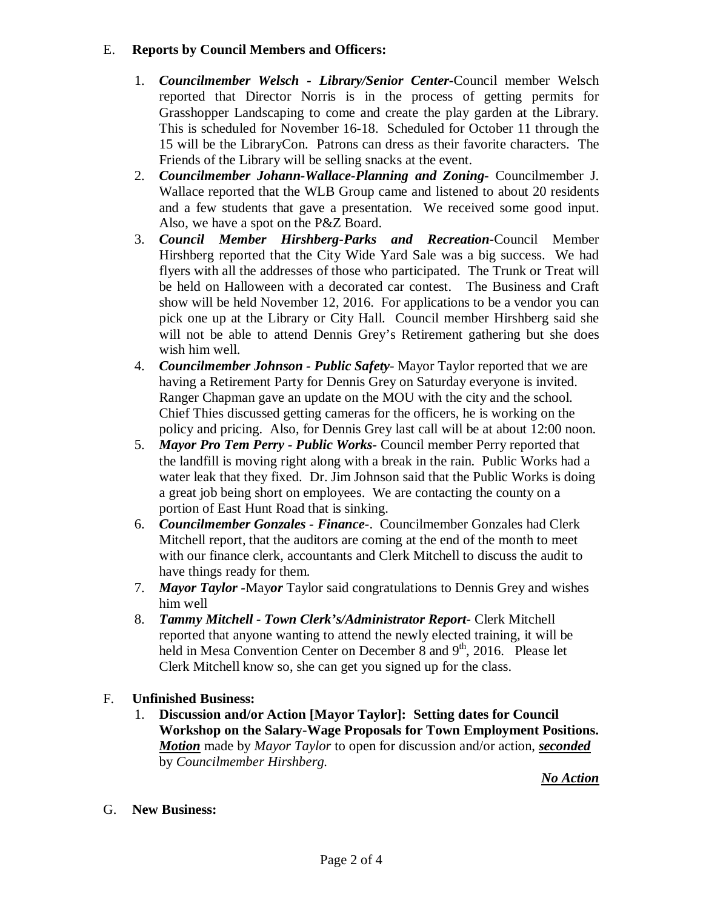## E. **Reports by Council Members and Officers:**

- 1. *Councilmember Welsch - Library/Senior Center***-**Council member Welsch reported that Director Norris is in the process of getting permits for Grasshopper Landscaping to come and create the play garden at the Library. This is scheduled for November 16-18. Scheduled for October 11 through the 15 will be the LibraryCon. Patrons can dress as their favorite characters. The Friends of the Library will be selling snacks at the event.
- 2. *Councilmember Johann-Wallace-Planning and Zoning***-** Councilmember J. Wallace reported that the WLB Group came and listened to about 20 residents and a few students that gave a presentation. We received some good input. Also, we have a spot on the P&Z Board.
- 3. *Council Member Hirshberg-Parks and Recreation***-**Council Member Hirshberg reported that the City Wide Yard Sale was a big success. We had flyers with all the addresses of those who participated. The Trunk or Treat will be held on Halloween with a decorated car contest. The Business and Craft show will be held November 12, 2016. For applications to be a vendor you can pick one up at the Library or City Hall. Council member Hirshberg said she will not be able to attend Dennis Grey's Retirement gathering but she does wish him well.
- 4. *Councilmember Johnson - Public Safety-* Mayor Taylor reported that we are having a Retirement Party for Dennis Grey on Saturday everyone is invited. Ranger Chapman gave an update on the MOU with the city and the school. Chief Thies discussed getting cameras for the officers, he is working on the policy and pricing. Also, for Dennis Grey last call will be at about 12:00 noon.
- 5. *Mayor Pro Tem Perry - Public Works-* Council member Perry reported that the landfill is moving right along with a break in the rain. Public Works had a water leak that they fixed. Dr. Jim Johnson said that the Public Works is doing a great job being short on employees. We are contacting the county on a portion of East Hunt Road that is sinking.
- 6. *Councilmember Gonzales - Finance-*. Councilmember Gonzales had Clerk Mitchell report, that the auditors are coming at the end of the month to meet with our finance clerk, accountants and Clerk Mitchell to discuss the audit to have things ready for them.
- 7. *Mayor Taylor -*May*or* Taylor said congratulations to Dennis Grey and wishes him well
- 8. *Tammy Mitchell - Town Clerk's/Administrator Report-* Clerk Mitchell reported that anyone wanting to attend the newly elected training, it will be held in Mesa Convention Center on December 8 and  $9<sup>th</sup>$ , 2016. Please let Clerk Mitchell know so, she can get you signed up for the class.

## F. **Unfinished Business:**

1. **Discussion and/or Action [Mayor Taylor]: Setting dates for Council Workshop on the Salary-Wage Proposals for Town Employment Positions.** *Motion* made by *Mayor Taylor* to open for discussion and/or action, *seconded* by *Councilmember Hirshberg.* 

*No Action*

G. **New Business:**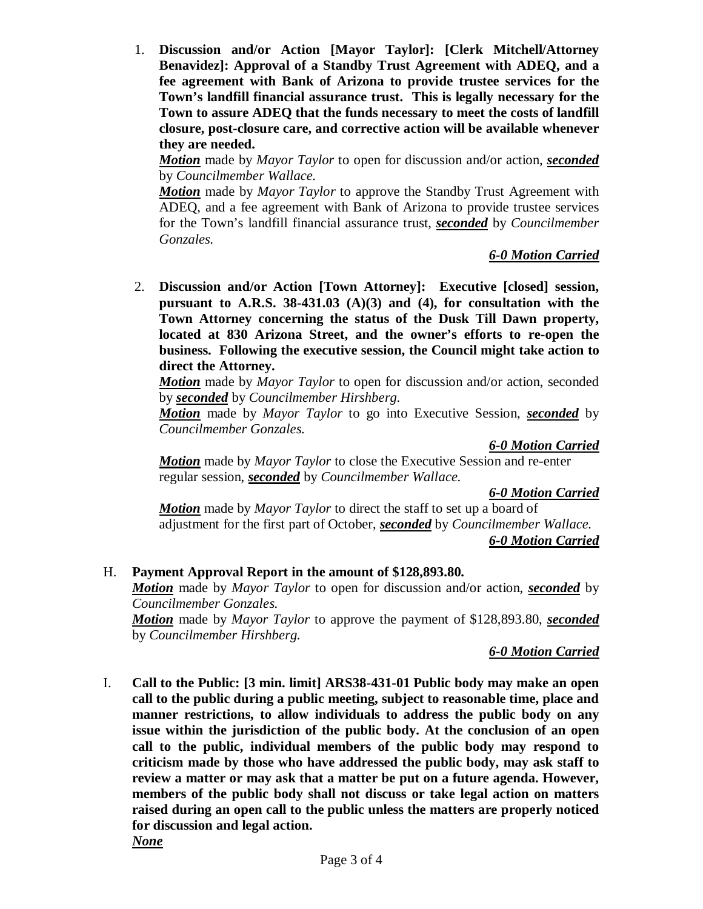1. **Discussion and/or Action [Mayor Taylor]: [Clerk Mitchell/Attorney Benavidez]: Approval of a Standby Trust Agreement with ADEQ, and a fee agreement with Bank of Arizona to provide trustee services for the Town's landfill financial assurance trust. This is legally necessary for the Town to assure ADEQ that the funds necessary to meet the costs of landfill closure, post-closure care, and corrective action will be available whenever they are needed.**

*Motion* made by *Mayor Taylor* to open for discussion and/or action, *seconded* by *Councilmember Wallace.*

*Motion* made by *Mayor Taylor* to approve the Standby Trust Agreement with ADEQ, and a fee agreement with Bank of Arizona to provide trustee services for the Town's landfill financial assurance trust, *seconded* by *Councilmember Gonzales.*

#### *6-0 Motion Carried*

2. **Discussion and/or Action [Town Attorney]: Executive [closed] session, pursuant to A.R.S. 38-431.03 (A)(3) and (4), for consultation with the Town Attorney concerning the status of the Dusk Till Dawn property, located at 830 Arizona Street, and the owner's efforts to re-open the business. Following the executive session, the Council might take action to direct the Attorney.**

*Motion* made by *Mayor Taylor* to open for discussion and/or action, seconded by *seconded* by *Councilmember Hirshberg.*

*Motion* made by *Mayor Taylor* to go into Executive Session, *seconded* by *Councilmember Gonzales.*

*6-0 Motion Carried*

*Motion* made by *Mayor Taylor* to close the Executive Session and re-enter regular session, *seconded* by *Councilmember Wallace.*

*6-0 Motion Carried*

*Motion* made by *Mayor Taylor* to direct the staff to set up a board of adjustment for the first part of October, *seconded* by *Councilmember Wallace. 6-0 Motion Carried*

## H. **Payment Approval Report in the amount of \$128,893.80.**

*Motion* made by *Mayor Taylor* to open for discussion and/or action, *seconded* by *Councilmember Gonzales.*

*Motion* made by *Mayor Taylor* to approve the payment of \$128,893.80, *seconded* by *Councilmember Hirshberg.*

#### *6-0 Motion Carried*

I. **Call to the Public: [3 min. limit] ARS38-431-01 Public body may make an open call to the public during a public meeting, subject to reasonable time, place and manner restrictions, to allow individuals to address the public body on any issue within the jurisdiction of the public body. At the conclusion of an open call to the public, individual members of the public body may respond to criticism made by those who have addressed the public body, may ask staff to review a matter or may ask that a matter be put on a future agenda. However, members of the public body shall not discuss or take legal action on matters raised during an open call to the public unless the matters are properly noticed for discussion and legal action.**

*None*